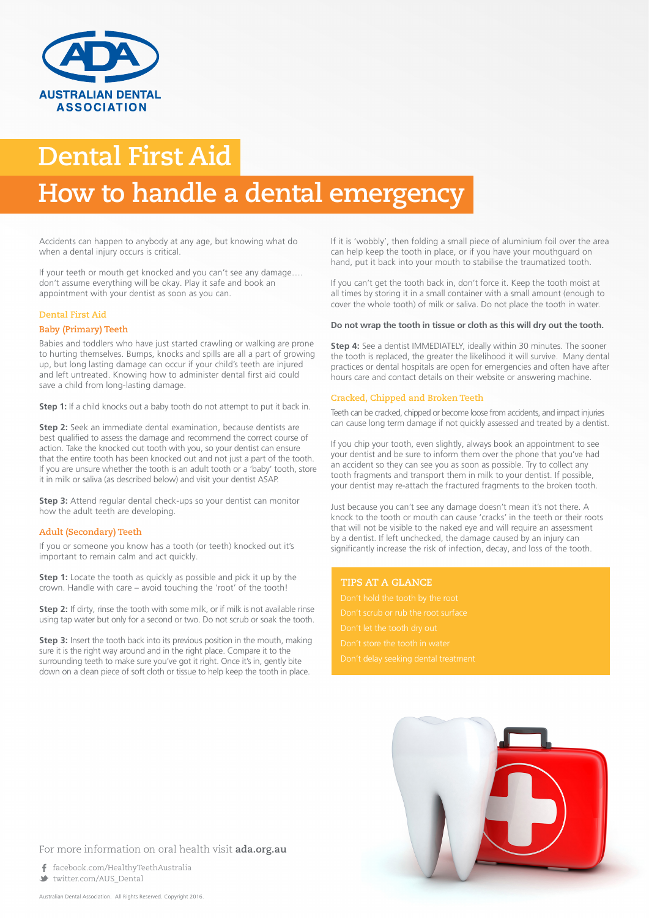

## **Dental First Aid How to handle a dental emergency**

Accidents can happen to anybody at any age, but knowing what do when a dental injury occurs is critical.

If your teeth or mouth get knocked and you can't see any damage…. don't assume everything will be okay. Play it safe and book an appointment with your dentist as soon as you can.

## **Dental First Aid**

## **Baby (Primary) Teeth**

Babies and toddlers who have just started crawling or walking are prone to hurting themselves. Bumps, knocks and spills are all a part of growing up, but long lasting damage can occur if your child's teeth are injured and left untreated. Knowing how to administer dental first aid could save a child from long-lasting damage.

**Step 1:** If a child knocks out a baby tooth do not attempt to put it back in.

**Step 2:** Seek an immediate dental examination, because dentists are best qualified to assess the damage and recommend the correct course of action. Take the knocked out tooth with you, so your dentist can ensure that the entire tooth has been knocked out and not just a part of the tooth. If you are unsure whether the tooth is an adult tooth or a 'baby' tooth, store it in milk or saliva (as described below) and visit your dentist ASAP.

**Step 3:** Attend regular dental check-ups so your dentist can monitor how the adult teeth are developing.

## **Adult (Secondary) Teeth**

If you or someone you know has a tooth (or teeth) knocked out it's important to remain calm and act quickly.

**Step 1:** Locate the tooth as quickly as possible and pick it up by the crown. Handle with care – avoid touching the 'root' of the tooth!

**Step 2:** If dirty, rinse the tooth with some milk, or if milk is not available rinse using tap water but only for a second or two. Do not scrub or soak the tooth.

**Step 3:** Insert the tooth back into its previous position in the mouth, making sure it is the right way around and in the right place. Compare it to the surrounding teeth to make sure you've got it right. Once it's in, gently bite down on a clean piece of soft cloth or tissue to help keep the tooth in place.

If it is 'wobbly', then folding a small piece of aluminium foil over the area can help keep the tooth in place, or if you have your mouthguard on hand, put it back into your mouth to stabilise the traumatized tooth.

If you can't get the tooth back in, don't force it. Keep the tooth moist at all times by storing it in a small container with a small amount (enough to cover the whole tooth) of milk or saliva. Do not place the tooth in water.

#### **Do not wrap the tooth in tissue or cloth as this will dry out the tooth.**

**Step 4:** See a dentist IMMEDIATELY, ideally within 30 minutes. The sooner the tooth is replaced, the greater the likelihood it will survive. Many dental practices or dental hospitals are open for emergencies and often have after hours care and contact details on their website or answering machine.

## **Cracked, Chipped and Broken Teeth**

Teeth can be cracked, chipped or become loose from accidents, and impact injuries can cause long term damage if not quickly assessed and treated by a dentist.

If you chip your tooth, even slightly, always book an appointment to see your dentist and be sure to inform them over the phone that you've had an accident so they can see you as soon as possible. Try to collect any tooth fragments and transport them in milk to your dentist. If possible, your dentist may re-attach the fractured fragments to the broken tooth.

Just because you can't see any damage doesn't mean it's not there. A knock to the tooth or mouth can cause 'cracks' in the teeth or their roots that will not be visible to the naked eye and will require an assessment by a dentist. If left unchecked, the damage caused by an injury can significantly increase the risk of infection, decay, and loss of the tooth.

## **TIPS AT A GLANCE**



## For more information on oral health visit **ada.org.au**

 facebook.com/HealthyTeethAustralia twitter.com/AUS\_Dental